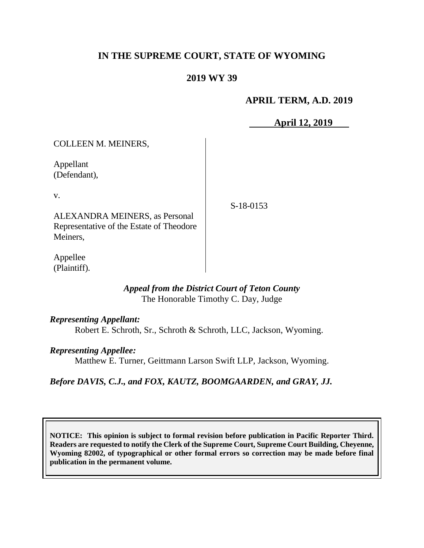# **IN THE SUPREME COURT, STATE OF WYOMING**

## **2019 WY 39**

### **APRIL TERM, A.D. 2019**

**April 12, 2019**

COLLEEN M. MEINERS, Appellant (Defendant), v. ALEXANDRA MEINERS, as Personal Representative of the Estate of Theodore Meiners, S-18-0153

Appellee (Plaintiff).

### *Appeal from the District Court of Teton County* The Honorable Timothy C. Day, Judge

#### *Representing Appellant:*

Robert E. Schroth, Sr., Schroth & Schroth, LLC, Jackson, Wyoming.

### *Representing Appellee:*

Matthew E. Turner, Geittmann Larson Swift LLP, Jackson, Wyoming.

*Before DAVIS, C.J., and FOX, KAUTZ, BOOMGAARDEN, and GRAY, JJ.*

**NOTICE: This opinion is subject to formal revision before publication in Pacific Reporter Third. Readers are requested to notify the Clerk of the Supreme Court, Supreme Court Building, Cheyenne, Wyoming 82002, of typographical or other formal errors so correction may be made before final publication in the permanent volume.**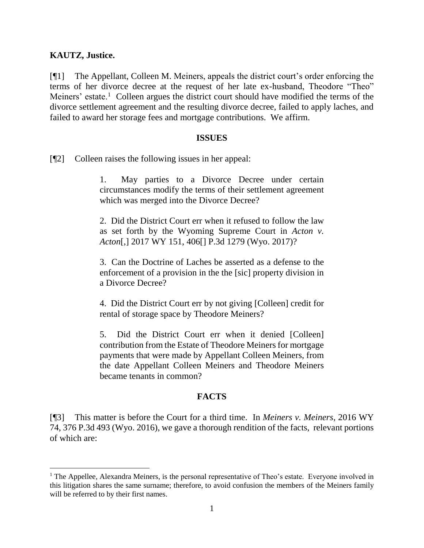### **KAUTZ, Justice.**

[¶1] The Appellant, Colleen M. Meiners, appeals the district court's order enforcing the terms of her divorce decree at the request of her late ex-husband, Theodore "Theo" Meiners' estate.<sup>1</sup> Colleen argues the district court should have modified the terms of the divorce settlement agreement and the resulting divorce decree, failed to apply laches, and failed to award her storage fees and mortgage contributions. We affirm.

#### **ISSUES**

[¶2] Colleen raises the following issues in her appeal:

1. May parties to a Divorce Decree under certain circumstances modify the terms of their settlement agreement which was merged into the Divorce Decree?

2. Did the District Court err when it refused to follow the law as set forth by the Wyoming Supreme Court in *Acton v. Acton*[,] 2017 WY 151, 406[] P.3d 1279 (Wyo. 2017)?

3. Can the Doctrine of Laches be asserted as a defense to the enforcement of a provision in the the [sic] property division in a Divorce Decree?

4. Did the District Court err by not giving [Colleen] credit for rental of storage space by Theodore Meiners?

5. Did the District Court err when it denied [Colleen] contribution from the Estate of Theodore Meiners for mortgage payments that were made by Appellant Colleen Meiners, from the date Appellant Colleen Meiners and Theodore Meiners became tenants in common?

# **FACTS**

[¶3] This matter is before the Court for a third time. In *Meiners v. Meiners*, 2016 WY 74, 376 P.3d 493 (Wyo. 2016), we gave a thorough rendition of the facts, relevant portions of which are:

<sup>&</sup>lt;sup>1</sup> The Appellee, Alexandra Meiners, is the personal representative of Theo's estate. Everyone involved in this litigation shares the same surname; therefore, to avoid confusion the members of the Meiners family will be referred to by their first names.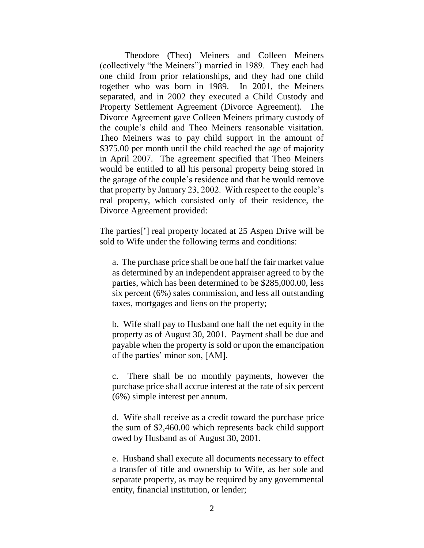Theodore (Theo) Meiners and Colleen Meiners (collectively "the Meiners") married in 1989. They each had one child from prior relationships, and they had one child together who was born in 1989. In 2001, the Meiners separated, and in 2002 they executed a Child Custody and Property Settlement Agreement (Divorce Agreement). The Divorce Agreement gave Colleen Meiners primary custody of the couple's child and Theo Meiners reasonable visitation. Theo Meiners was to pay child support in the amount of \$375.00 per month until the child reached the age of majority in April 2007. The agreement specified that Theo Meiners would be entitled to all his personal property being stored in the garage of the couple's residence and that he would remove that property by January 23, 2002. With respect to the couple's real property, which consisted only of their residence, the Divorce Agreement provided:

The parties['] real property located at 25 Aspen Drive will be sold to Wife under the following terms and conditions:

a. The purchase price shall be one half the fair market value as determined by an independent appraiser agreed to by the parties, which has been determined to be \$285,000.00, less six percent (6%) sales commission, and less all outstanding taxes, mortgages and liens on the property;

b. Wife shall pay to Husband one half the net equity in the property as of August 30, 2001. Payment shall be due and payable when the property is sold or upon the emancipation of the parties' minor son, [AM].

c. There shall be no monthly payments, however the purchase price shall accrue interest at the rate of six percent (6%) simple interest per annum.

d. Wife shall receive as a credit toward the purchase price the sum of \$2,460.00 which represents back child support owed by Husband as of August 30, 2001.

e. Husband shall execute all documents necessary to effect a transfer of title and ownership to Wife, as her sole and separate property, as may be required by any governmental entity, financial institution, or lender;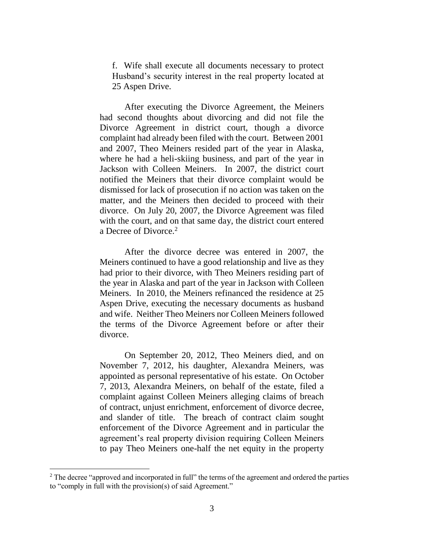f. Wife shall execute all documents necessary to protect Husband's security interest in the real property located at 25 Aspen Drive.

After executing the Divorce Agreement, the Meiners had second thoughts about divorcing and did not file the Divorce Agreement in district court, though a divorce complaint had already been filed with the court. Between 2001 and 2007, Theo Meiners resided part of the year in Alaska, where he had a heli-skiing business, and part of the year in Jackson with Colleen Meiners. In 2007, the district court notified the Meiners that their divorce complaint would be dismissed for lack of prosecution if no action was taken on the matter, and the Meiners then decided to proceed with their divorce. On July 20, 2007, the Divorce Agreement was filed with the court, and on that same day, the district court entered a Decree of Divorce.<sup>2</sup>

After the divorce decree was entered in 2007, the Meiners continued to have a good relationship and live as they had prior to their divorce, with Theo Meiners residing part of the year in Alaska and part of the year in Jackson with Colleen Meiners. In 2010, the Meiners refinanced the residence at 25 Aspen Drive, executing the necessary documents as husband and wife. Neither Theo Meiners nor Colleen Meiners followed the terms of the Divorce Agreement before or after their divorce.

On September 20, 2012, Theo Meiners died, and on November 7, 2012, his daughter, Alexandra Meiners, was appointed as personal representative of his estate. On October 7, 2013, Alexandra Meiners, on behalf of the estate, filed a complaint against Colleen Meiners alleging claims of breach of contract, unjust enrichment, enforcement of divorce decree, and slander of title. The breach of contract claim sought enforcement of the Divorce Agreement and in particular the agreement's real property division requiring Colleen Meiners to pay Theo Meiners one-half the net equity in the property

 $\overline{a}$ 

<sup>&</sup>lt;sup>2</sup> The decree "approved and incorporated in full" the terms of the agreement and ordered the parties to "comply in full with the provision(s) of said Agreement."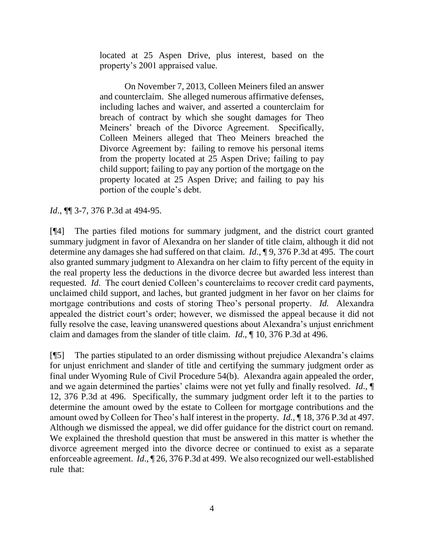located at 25 Aspen Drive, plus interest, based on the property's 2001 appraised value.

On November 7, 2013, Colleen Meiners filed an answer and counterclaim. She alleged numerous affirmative defenses, including laches and waiver, and asserted a counterclaim for breach of contract by which she sought damages for Theo Meiners' breach of the Divorce Agreement. Specifically, Colleen Meiners alleged that Theo Meiners breached the Divorce Agreement by: failing to remove his personal items from the property located at 25 Aspen Drive; failing to pay child support; failing to pay any portion of the mortgage on the property located at 25 Aspen Drive; and failing to pay his portion of the couple's debt.

*Id.*, **[14** 3-7, 376 P.3d at 494-95.

[¶4] The parties filed motions for summary judgment, and the district court granted summary judgment in favor of Alexandra on her slander of title claim, although it did not determine any damages she had suffered on that claim. *Id*., ¶ 9, 376 P.3d at 495. The court also granted summary judgment to Alexandra on her claim to fifty percent of the equity in the real property less the deductions in the divorce decree but awarded less interest than requested. *Id*. The court denied Colleen's counterclaims to recover credit card payments, unclaimed child support, and laches, but granted judgment in her favor on her claims for mortgage contributions and costs of storing Theo's personal property. *Id.* Alexandra appealed the district court's order; however, we dismissed the appeal because it did not fully resolve the case, leaving unanswered questions about Alexandra's unjust enrichment claim and damages from the slander of title claim. *Id*., ¶ 10, 376 P.3d at 496.

[¶5] The parties stipulated to an order dismissing without prejudice Alexandra's claims for unjust enrichment and slander of title and certifying the summary judgment order as final under Wyoming Rule of Civil Procedure 54(b). Alexandra again appealed the order, and we again determined the parties' claims were not yet fully and finally resolved. *Id*., ¶ 12, 376 P.3d at 496. Specifically, the summary judgment order left it to the parties to determine the amount owed by the estate to Colleen for mortgage contributions and the amount owed by Colleen for Theo's half interest in the property. *Id.*, ¶ 18, 376 P.3d at 497. Although we dismissed the appeal, we did offer guidance for the district court on remand. We explained the threshold question that must be answered in this matter is whether the divorce agreement merged into the divorce decree or continued to exist as a separate enforceable agreement. *Id*., ¶ 26, 376 P.3d at 499. We also recognized our well-established rule that: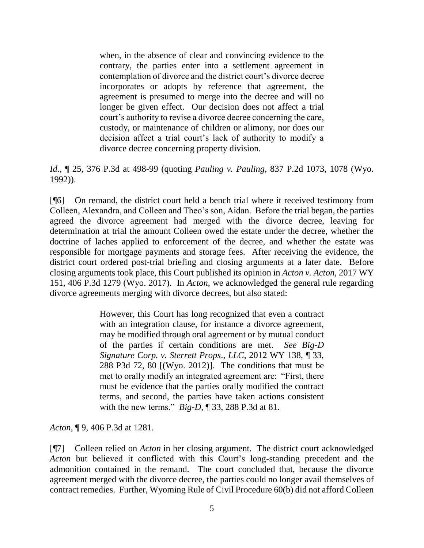when, in the absence of clear and convincing evidence to the contrary, the parties enter into a settlement agreement in contemplation of divorce and the district court's divorce decree incorporates or adopts by reference that agreement, the agreement is presumed to merge into the decree and will no longer be given effect. Our decision does not affect a trial court's authority to revise a divorce decree concerning the care, custody, or maintenance of children or alimony, nor does our decision affect a trial court's lack of authority to modify a divorce decree concerning property division.

*Id*., ¶ 25, 376 P.3d at 498-99 (quoting *Pauling v. Pauling*, 837 P.2d 1073, 1078 (Wyo. 1992)).

[¶6] On remand, the district court held a bench trial where it received testimony from Colleen, Alexandra, and Colleen and Theo's son, Aidan. Before the trial began, the parties agreed the divorce agreement had merged with the divorce decree, leaving for determination at trial the amount Colleen owed the estate under the decree, whether the doctrine of laches applied to enforcement of the decree, and whether the estate was responsible for mortgage payments and storage fees. After receiving the evidence, the district court ordered post-trial briefing and closing arguments at a later date. Before closing arguments took place, this Court published its opinion in *Acton v. Acton*, 2017 WY 151, 406 P.3d 1279 (Wyo. 2017). In *Acton*, we acknowledged the general rule regarding divorce agreements merging with divorce decrees, but also stated:

> However, this Court has long recognized that even a contract with an integration clause, for instance a divorce agreement, may be modified through oral agreement or by mutual conduct of the parties if certain conditions are met. *See Big-D Signature Corp. v. Sterrett Props*., *LLC*, 2012 WY 138, ¶ 33, 288 P3d 72, 80 [(Wyo. 2012)]. The conditions that must be met to orally modify an integrated agreement are: "First, there must be evidence that the parties orally modified the contract terms, and second, the parties have taken actions consistent with the new terms." *Big-D*, ¶ 33, 288 P.3d at 81.

*Acton*, ¶ 9, 406 P.3d at 1281.

[¶7] Colleen relied on *Acton* in her closing argument. The district court acknowledged *Acton* but believed it conflicted with this Court's long-standing precedent and the admonition contained in the remand. The court concluded that, because the divorce agreement merged with the divorce decree, the parties could no longer avail themselves of contract remedies. Further, Wyoming Rule of Civil Procedure 60(b) did not afford Colleen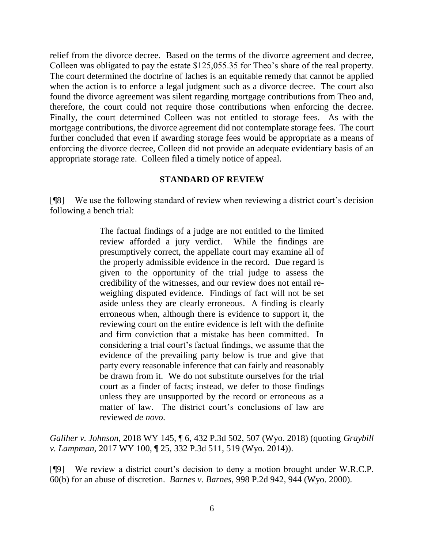relief from the divorce decree. Based on the terms of the divorce agreement and decree, Colleen was obligated to pay the estate \$125,055.35 for Theo's share of the real property. The court determined the doctrine of laches is an equitable remedy that cannot be applied when the action is to enforce a legal judgment such as a divorce decree. The court also found the divorce agreement was silent regarding mortgage contributions from Theo and, therefore, the court could not require those contributions when enforcing the decree. Finally, the court determined Colleen was not entitled to storage fees. As with the mortgage contributions, the divorce agreement did not contemplate storage fees. The court further concluded that even if awarding storage fees would be appropriate as a means of enforcing the divorce decree, Colleen did not provide an adequate evidentiary basis of an appropriate storage rate. Colleen filed a timely notice of appeal.

# **STANDARD OF REVIEW**

[¶8] We use the following standard of review when reviewing a district court's decision following a bench trial:

> The factual findings of a judge are not entitled to the limited review afforded a jury verdict. While the findings are presumptively correct, the appellate court may examine all of the properly admissible evidence in the record. Due regard is given to the opportunity of the trial judge to assess the credibility of the witnesses, and our review does not entail reweighing disputed evidence. Findings of fact will not be set aside unless they are clearly erroneous. A finding is clearly erroneous when, although there is evidence to support it, the reviewing court on the entire evidence is left with the definite and firm conviction that a mistake has been committed. In considering a trial court's factual findings, we assume that the evidence of the prevailing party below is true and give that party every reasonable inference that can fairly and reasonably be drawn from it. We do not substitute ourselves for the trial court as a finder of facts; instead, we defer to those findings unless they are unsupported by the record or erroneous as a matter of law. The district court's conclusions of law are reviewed *de novo*.

*Galiher v. Johnson*, 2018 WY 145, ¶ 6, 432 P.3d 502, 507 (Wyo. 2018) (quoting *Graybill v. Lampman*, 2017 WY 100, ¶ 25, 332 P.3d 511, 519 (Wyo. 2014)).

[¶9] We review a district court's decision to deny a motion brought under W.R.C.P. 60(b) for an abuse of discretion. *Barnes v. Barnes*, 998 P.2d 942, 944 (Wyo. 2000).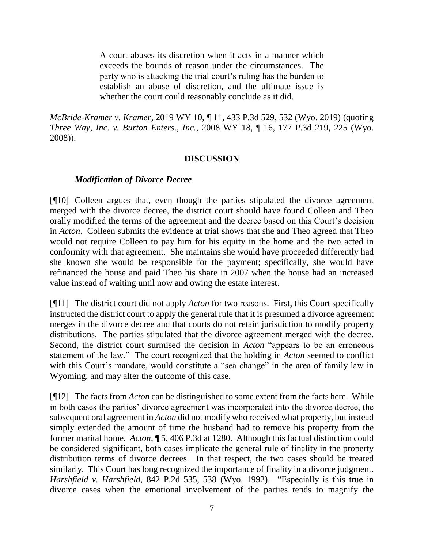A court abuses its discretion when it acts in a manner which exceeds the bounds of reason under the circumstances. The party who is attacking the trial court's ruling has the burden to establish an abuse of discretion, and the ultimate issue is whether the court could reasonably conclude as it did.

*McBride-Kramer v. Kramer*, 2019 WY 10, ¶ 11, 433 P.3d 529, 532 (Wyo. 2019) (quoting *Three Way, Inc. v. Burton Enters., Inc.*, 2008 WY 18, ¶ 16, 177 P.3d 219, 225 (Wyo. 2008)).

### **DISCUSSION**

### *Modification of Divorce Decree*

[¶10] Colleen argues that, even though the parties stipulated the divorce agreement merged with the divorce decree, the district court should have found Colleen and Theo orally modified the terms of the agreement and the decree based on this Court's decision in *Acton*. Colleen submits the evidence at trial shows that she and Theo agreed that Theo would not require Colleen to pay him for his equity in the home and the two acted in conformity with that agreement. She maintains she would have proceeded differently had she known she would be responsible for the payment; specifically, she would have refinanced the house and paid Theo his share in 2007 when the house had an increased value instead of waiting until now and owing the estate interest.

[¶11] The district court did not apply *Acton* for two reasons. First, this Court specifically instructed the district court to apply the general rule that it is presumed a divorce agreement merges in the divorce decree and that courts do not retain jurisdiction to modify property distributions. The parties stipulated that the divorce agreement merged with the decree. Second, the district court surmised the decision in *Acton* "appears to be an erroneous statement of the law." The court recognized that the holding in *Acton* seemed to conflict with this Court's mandate, would constitute a "sea change" in the area of family law in Wyoming, and may alter the outcome of this case.

[¶12] The facts from *Acton* can be distinguished to some extent from the facts here. While in both cases the parties' divorce agreement was incorporated into the divorce decree, the subsequent oral agreement in *Acton* did not modify who received what property, but instead simply extended the amount of time the husband had to remove his property from the former marital home. *Acton*, ¶ 5, 406 P.3d at 1280. Although this factual distinction could be considered significant, both cases implicate the general rule of finality in the property distribution terms of divorce decrees. In that respect, the two cases should be treated similarly. This Court has long recognized the importance of finality in a divorce judgment. *Harshfield v. Harshfield*, 842 P.2d 535, 538 (Wyo. 1992). "Especially is this true in divorce cases when the emotional involvement of the parties tends to magnify the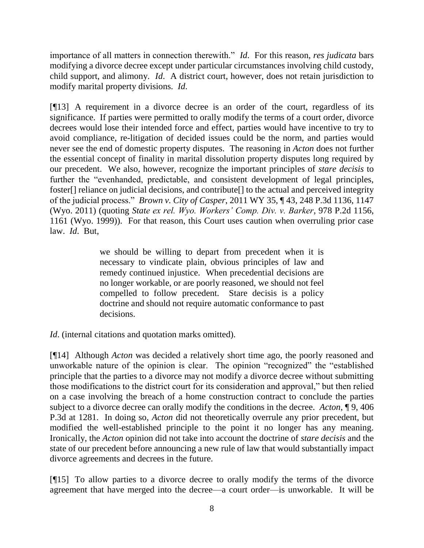importance of all matters in connection therewith." *Id*. For this reason, *res judicata* bars modifying a divorce decree except under particular circumstances involving child custody, child support, and alimony. *Id*. A district court, however, does not retain jurisdiction to modify marital property divisions. *Id*.

[¶13] A requirement in a divorce decree is an order of the court, regardless of its significance. If parties were permitted to orally modify the terms of a court order, divorce decrees would lose their intended force and effect, parties would have incentive to try to avoid compliance, re-litigation of decided issues could be the norm, and parties would never see the end of domestic property disputes. The reasoning in *Acton* does not further the essential concept of finality in marital dissolution property disputes long required by our precedent. We also, however, recognize the important principles of *stare decisis* to further the "evenhanded, predictable, and consistent development of legal principles, foster[] reliance on judicial decisions, and contribute[] to the actual and perceived integrity of the judicial process." *Brown v. City of Casper*, 2011 WY 35, ¶ 43, 248 P.3d 1136, 1147 (Wyo. 2011) (quoting *State ex rel. Wyo. Workers' Comp. Div. v. Barker*, 978 P.2d 1156, 1161 (Wyo. 1999)). For that reason, this Court uses caution when overruling prior case law. *Id*. But,

> we should be willing to depart from precedent when it is necessary to vindicate plain, obvious principles of law and remedy continued injustice. When precedential decisions are no longer workable, or are poorly reasoned, we should not feel compelled to follow precedent. Stare decisis is a policy doctrine and should not require automatic conformance to past decisions.

*Id.* (internal citations and quotation marks omitted).

[¶14] Although *Acton* was decided a relatively short time ago, the poorly reasoned and unworkable nature of the opinion is clear. The opinion "recognized" the "established principle that the parties to a divorce may not modify a divorce decree without submitting those modifications to the district court for its consideration and approval," but then relied on a case involving the breach of a home construction contract to conclude the parties subject to a divorce decree can orally modify the conditions in the decree. *Acton*, ¶ 9, 406 P.3d at 1281. In doing so, *Acton* did not theoretically overrule any prior precedent, but modified the well-established principle to the point it no longer has any meaning. Ironically, the *Acton* opinion did not take into account the doctrine of *stare decisis* and the state of our precedent before announcing a new rule of law that would substantially impact divorce agreements and decrees in the future.

[¶15] To allow parties to a divorce decree to orally modify the terms of the divorce agreement that have merged into the decree—a court order—is unworkable. It will be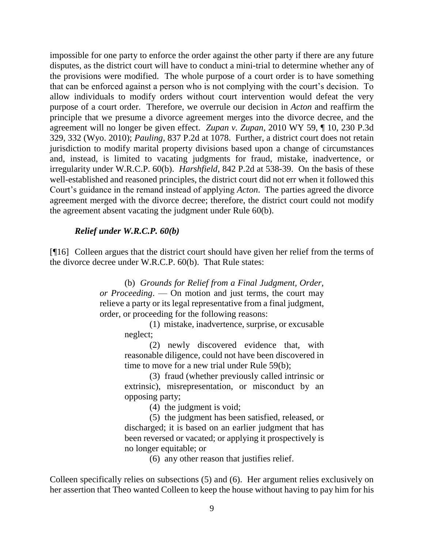impossible for one party to enforce the order against the other party if there are any future disputes, as the district court will have to conduct a mini-trial to determine whether any of the provisions were modified. The whole purpose of a court order is to have something that can be enforced against a person who is not complying with the court's decision. To allow individuals to modify orders without court intervention would defeat the very purpose of a court order. Therefore, we overrule our decision in *Acton* and reaffirm the principle that we presume a divorce agreement merges into the divorce decree, and the agreement will no longer be given effect. *Zupan v. Zupan*, 2010 WY 59, ¶ 10, 230 P.3d 329, 332 (Wyo. 2010); *Pauling*, 837 P.2d at 1078. Further, a district court does not retain jurisdiction to modify marital property divisions based upon a change of circumstances and, instead, is limited to vacating judgments for fraud, mistake, inadvertence, or irregularity under W.R.C.P. 60(b). *Harshfield*, 842 P.2d at 538-39. On the basis of these well-established and reasoned principles, the district court did not err when it followed this Court's guidance in the remand instead of applying *Acton*. The parties agreed the divorce agreement merged with the divorce decree; therefore, the district court could not modify the agreement absent vacating the judgment under Rule 60(b).

### *Relief under W.R.C.P. 60(b)*

[¶16] Colleen argues that the district court should have given her relief from the terms of the divorce decree under W.R.C.P. 60(b). That Rule states:

> (b) *Grounds for Relief from a Final Judgment, Order, or Proceeding*. — On motion and just terms, the court may relieve a party or its legal representative from a final judgment, order, or proceeding for the following reasons:

(1) mistake, inadvertence, surprise, or excusable neglect;

(2) newly discovered evidence that, with reasonable diligence, could not have been discovered in time to move for a new trial under Rule 59(b);

(3) fraud (whether previously called intrinsic or extrinsic), misrepresentation, or misconduct by an opposing party;

(4) the judgment is void;

(5) the judgment has been satisfied, released, or discharged; it is based on an earlier judgment that has been reversed or vacated; or applying it prospectively is no longer equitable; or

(6) any other reason that justifies relief.

Colleen specifically relies on subsections (5) and (6). Her argument relies exclusively on her assertion that Theo wanted Colleen to keep the house without having to pay him for his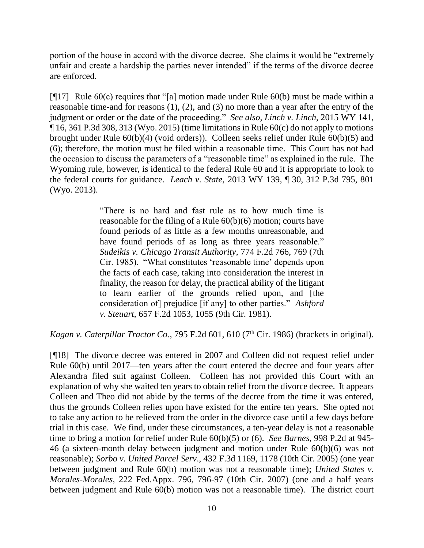portion of the house in accord with the divorce decree. She claims it would be "extremely unfair and create a hardship the parties never intended" if the terms of the divorce decree are enforced.

[ $[17]$  Rule 60(c) requires that "[a] motion made under Rule 60(b) must be made within a reasonable time-and for reasons (1), (2), and (3) no more than a year after the entry of the judgment or order or the date of the proceeding." *See also, Linch v. Linch*, 2015 WY 141,  $\P$  16, 361 P.3d 308, 313 (Wyo. 2015) (time limitations in Rule 60(c) do not apply to motions brought under Rule 60(b)(4) (void orders)). Colleen seeks relief under Rule 60(b)(5) and (6); therefore, the motion must be filed within a reasonable time. This Court has not had the occasion to discuss the parameters of a "reasonable time" as explained in the rule. The Wyoming rule, however, is identical to the federal Rule 60 and it is appropriate to look to the federal courts for guidance. *Leach v. State*, 2013 WY 139, ¶ 30, 312 P.3d 795, 801 (Wyo. 2013).

> "There is no hard and fast rule as to how much time is reasonable for the filing of a Rule 60(b)(6) motion; courts have found periods of as little as a few months unreasonable, and have found periods of as long as three years reasonable." *Sudeikis v. Chicago Transit Authority*, 774 F.2d 766, 769 (7th Cir. 1985). "What constitutes 'reasonable time' depends upon the facts of each case, taking into consideration the interest in finality, the reason for delay, the practical ability of the litigant to learn earlier of the grounds relied upon, and [the consideration of] prejudice [if any] to other parties." *Ashford v. Steuart*, 657 F.2d 1053, 1055 (9th Cir. 1981).

Kagan v. Caterpillar Tractor Co., 795 F.2d 601, 610 (7<sup>th</sup> Cir. 1986) (brackets in original).

[¶18] The divorce decree was entered in 2007 and Colleen did not request relief under Rule 60(b) until 2017—ten years after the court entered the decree and four years after Alexandra filed suit against Colleen. Colleen has not provided this Court with an explanation of why she waited ten years to obtain relief from the divorce decree. It appears Colleen and Theo did not abide by the terms of the decree from the time it was entered, thus the grounds Colleen relies upon have existed for the entire ten years. She opted not to take any action to be relieved from the order in the divorce case until a few days before trial in this case. We find, under these circumstances, a ten-year delay is not a reasonable time to bring a motion for relief under Rule 60(b)(5) or (6). *See Barnes*, 998 P.2d at 945- 46 (a sixteen-month delay between judgment and motion under Rule 60(b)(6) was not reasonable); *Sorbo v. United Parcel Serv*., 432 F.3d 1169, 1178 (10th Cir. 2005) (one year between judgment and Rule 60(b) motion was not a reasonable time); *United States v. Morales-Morales*, 222 Fed.Appx. 796, 796-97 (10th Cir. 2007) (one and a half years between judgment and Rule 60(b) motion was not a reasonable time). The district court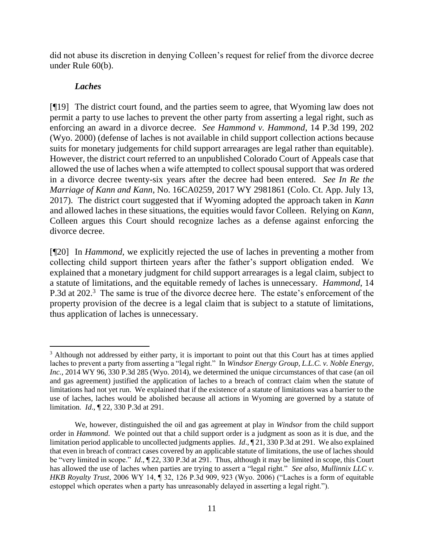did not abuse its discretion in denying Colleen's request for relief from the divorce decree under Rule 60(b).

# *Laches*

[¶19] The district court found, and the parties seem to agree, that Wyoming law does not permit a party to use laches to prevent the other party from asserting a legal right, such as enforcing an award in a divorce decree. *See Hammond v. Hammond*, 14 P.3d 199, 202 (Wyo. 2000) (defense of laches is not available in child support collection actions because suits for monetary judgements for child support arrearages are legal rather than equitable). However, the district court referred to an unpublished Colorado Court of Appeals case that allowed the use of laches when a wife attempted to collect spousal support that was ordered in a divorce decree twenty-six years after the decree had been entered. *See In Re the Marriage of Kann and Kann*, No. 16CA0259, 2017 WY 2981861 (Colo. Ct. App. July 13, 2017). The district court suggested that if Wyoming adopted the approach taken in *Kann*  and allowed laches in these situations, the equities would favor Colleen. Relying on *Kann*, Colleen argues this Court should recognize laches as a defense against enforcing the divorce decree.

[¶20] In *Hammond,* we explicitly rejected the use of laches in preventing a mother from collecting child support thirteen years after the father's support obligation ended. We explained that a monetary judgment for child support arrearages is a legal claim, subject to a statute of limitations, and the equitable remedy of laches is unnecessary. *Hammond*, 14 P.3d at 202.<sup>3</sup> The same is true of the divorce decree here. The estate's enforcement of the property provision of the decree is a legal claim that is subject to a statute of limitations, thus application of laches is unnecessary.

 $\overline{a}$ <sup>3</sup> Although not addressed by either party, it is important to point out that this Court has at times applied laches to prevent a party from asserting a "legal right." In *Windsor Energy Group, L.L.C. v. Noble Energy, Inc.*, 2014 WY 96, 330 P.3d 285 (Wyo. 2014), we determined the unique circumstances of that case (an oil and gas agreement) justified the application of laches to a breach of contract claim when the statute of limitations had not yet run. We explained that if the existence of a statute of limitations was a barrier to the use of laches, laches would be abolished because all actions in Wyoming are governed by a statute of limitation. *Id*., ¶ 22, 330 P.3d at 291.

We, however, distinguished the oil and gas agreement at play in *Windsor* from the child support order in *Hammond*. We pointed out that a child support order is a judgment as soon as it is due, and the limitation period applicable to uncollected judgments applies. *Id*., ¶ 21, 330 P.3d at 291. We also explained that even in breach of contract cases covered by an applicable statute of limitations, the use of laches should be "very limited in scope." *Id*., ¶ 22, 330 P.3d at 291. Thus, although it may be limited in scope, this Court has allowed the use of laches when parties are trying to assert a "legal right." *See also, Mullinnix LLC v. HKB Royalty Trust*, 2006 WY 14, ¶ 32, 126 P.3d 909, 923 (Wyo. 2006) ("Laches is a form of equitable estoppel which operates when a party has unreasonably delayed in asserting a legal right.").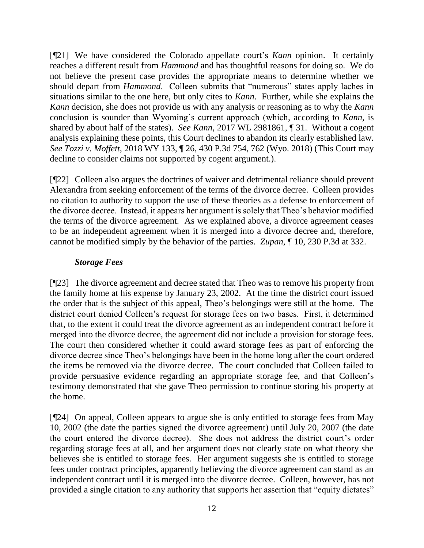[¶21] We have considered the Colorado appellate court's *Kann* opinion. It certainly reaches a different result from *Hammond* and has thoughtful reasons for doing so. We do not believe the present case provides the appropriate means to determine whether we should depart from *Hammond*. Colleen submits that "numerous" states apply laches in situations similar to the one here, but only cites to *Kann*. Further, while she explains the *Kann* decision, she does not provide us with any analysis or reasoning as to why the *Kann* conclusion is sounder than Wyoming's current approach (which, according to *Kann,* is shared by about half of the states). *See Kann*, 2017 WL 2981861, ¶ 31. Without a cogent analysis explaining these points, this Court declines to abandon its clearly established law. *See Tozzi v. Moffett*, 2018 WY 133, ¶ 26, 430 P.3d 754, 762 (Wyo. 2018) (This Court may decline to consider claims not supported by cogent argument.).

[¶22] Colleen also argues the doctrines of waiver and detrimental reliance should prevent Alexandra from seeking enforcement of the terms of the divorce decree. Colleen provides no citation to authority to support the use of these theories as a defense to enforcement of the divorce decree. Instead, it appears her argument is solely that Theo's behavior modified the terms of the divorce agreement. As we explained above, a divorce agreement ceases to be an independent agreement when it is merged into a divorce decree and, therefore, cannot be modified simply by the behavior of the parties. *Zupan*, ¶ 10, 230 P.3d at 332.

# *Storage Fees*

[¶23] The divorce agreement and decree stated that Theo was to remove his property from the family home at his expense by January 23, 2002. At the time the district court issued the order that is the subject of this appeal, Theo's belongings were still at the home. The district court denied Colleen's request for storage fees on two bases. First, it determined that, to the extent it could treat the divorce agreement as an independent contract before it merged into the divorce decree, the agreement did not include a provision for storage fees. The court then considered whether it could award storage fees as part of enforcing the divorce decree since Theo's belongings have been in the home long after the court ordered the items be removed via the divorce decree. The court concluded that Colleen failed to provide persuasive evidence regarding an appropriate storage fee, and that Colleen's testimony demonstrated that she gave Theo permission to continue storing his property at the home.

[¶24] On appeal, Colleen appears to argue she is only entitled to storage fees from May 10, 2002 (the date the parties signed the divorce agreement) until July 20, 2007 (the date the court entered the divorce decree). She does not address the district court's order regarding storage fees at all, and her argument does not clearly state on what theory she believes she is entitled to storage fees. Her argument suggests she is entitled to storage fees under contract principles, apparently believing the divorce agreement can stand as an independent contract until it is merged into the divorce decree. Colleen, however, has not provided a single citation to any authority that supports her assertion that "equity dictates"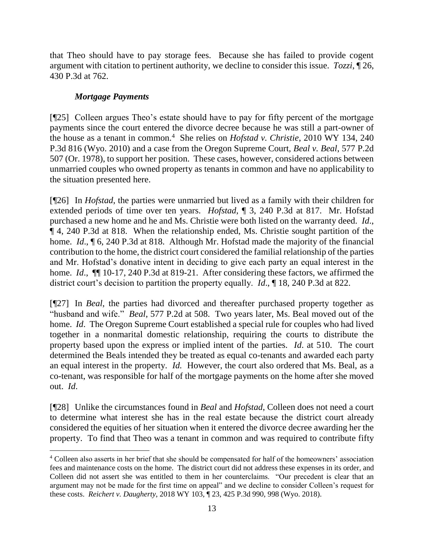that Theo should have to pay storage fees. Because she has failed to provide cogent argument with citation to pertinent authority, we decline to consider this issue. *Tozzi*, ¶ 26, 430 P.3d at 762.

# *Mortgage Payments*

[¶25] Colleen argues Theo's estate should have to pay for fifty percent of the mortgage payments since the court entered the divorce decree because he was still a part-owner of the house as a tenant in common.<sup>4</sup> She relies on *Hofstad v. Christie*, 2010 WY 134, 240 P.3d 816 (Wyo. 2010) and a case from the Oregon Supreme Court, *Beal v. Beal*, 577 P.2d 507 (Or. 1978), to support her position. These cases, however, considered actions between unmarried couples who owned property as tenants in common and have no applicability to the situation presented here.

[¶26] In *Hofstad*, the parties were unmarried but lived as a family with their children for extended periods of time over ten years. *Hofstad*, ¶ 3, 240 P.3d at 817. Mr. Hofstad purchased a new home and he and Ms. Christie were both listed on the warranty deed. *Id*., ¶ 4, 240 P.3d at 818. When the relationship ended, Ms. Christie sought partition of the home. *Id*., ¶ 6, 240 P.3d at 818. Although Mr. Hofstad made the majority of the financial contribution to the home, the district court considered the familial relationship of the parties and Mr. Hofstad's donative intent in deciding to give each party an equal interest in the home. *Id*., ¶¶ 10-17, 240 P.3d at 819-21. After considering these factors, we affirmed the district court's decision to partition the property equally. *Id*., ¶ 18, 240 P.3d at 822.

[¶27] In *Beal*, the parties had divorced and thereafter purchased property together as "husband and wife." *Beal*, 577 P.2d at 508. Two years later, Ms. Beal moved out of the home. *Id*. The Oregon Supreme Court established a special rule for couples who had lived together in a nonmarital domestic relationship, requiring the courts to distribute the property based upon the express or implied intent of the parties. *Id*. at 510. The court determined the Beals intended they be treated as equal co-tenants and awarded each party an equal interest in the property. *Id.* However, the court also ordered that Ms. Beal, as a co-tenant, was responsible for half of the mortgage payments on the home after she moved out. *Id*.

[¶28] Unlike the circumstances found in *Beal* and *Hofstad*, Colleen does not need a court to determine what interest she has in the real estate because the district court already considered the equities of her situation when it entered the divorce decree awarding her the property. To find that Theo was a tenant in common and was required to contribute fifty

<sup>&</sup>lt;sup>4</sup> Colleen also asserts in her brief that she should be compensated for half of the homeowners' association fees and maintenance costs on the home. The district court did not address these expenses in its order, and Colleen did not assert she was entitled to them in her counterclaims. "Our precedent is clear that an argument may not be made for the first time on appeal" and we decline to consider Colleen's request for these costs. *Reichert v. Daugherty*, 2018 WY 103, ¶ 23, 425 P.3d 990, 998 (Wyo. 2018).